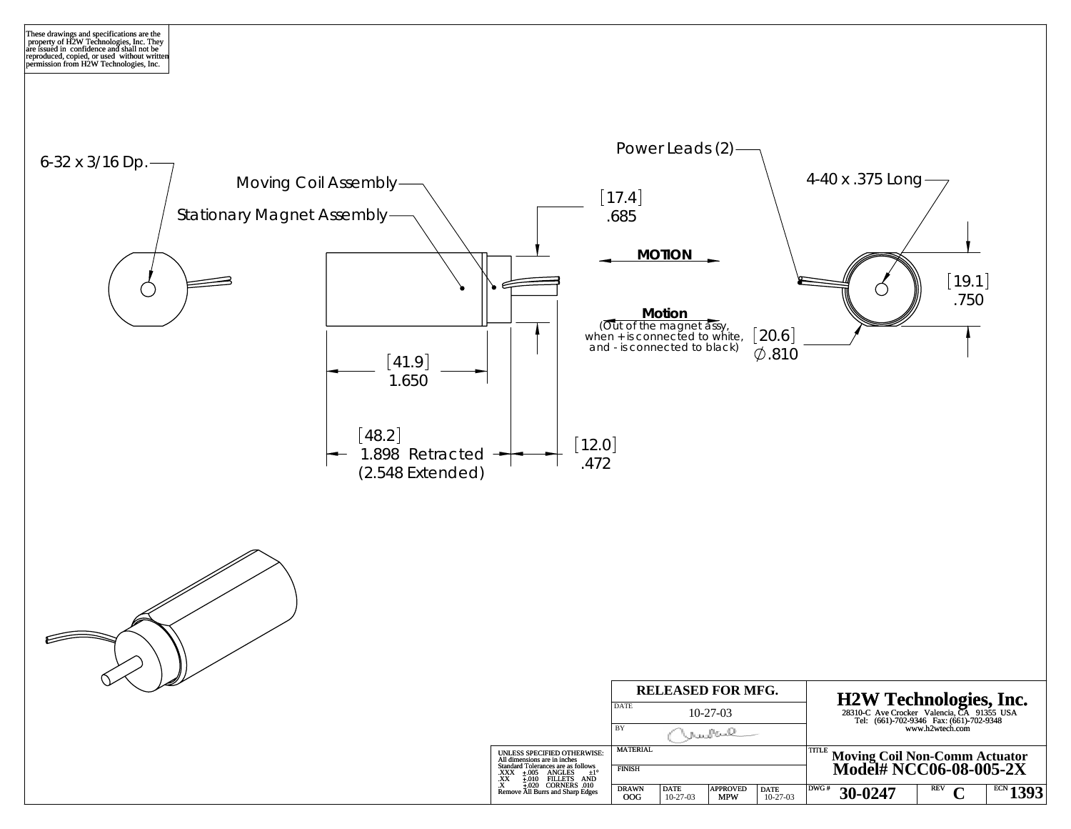